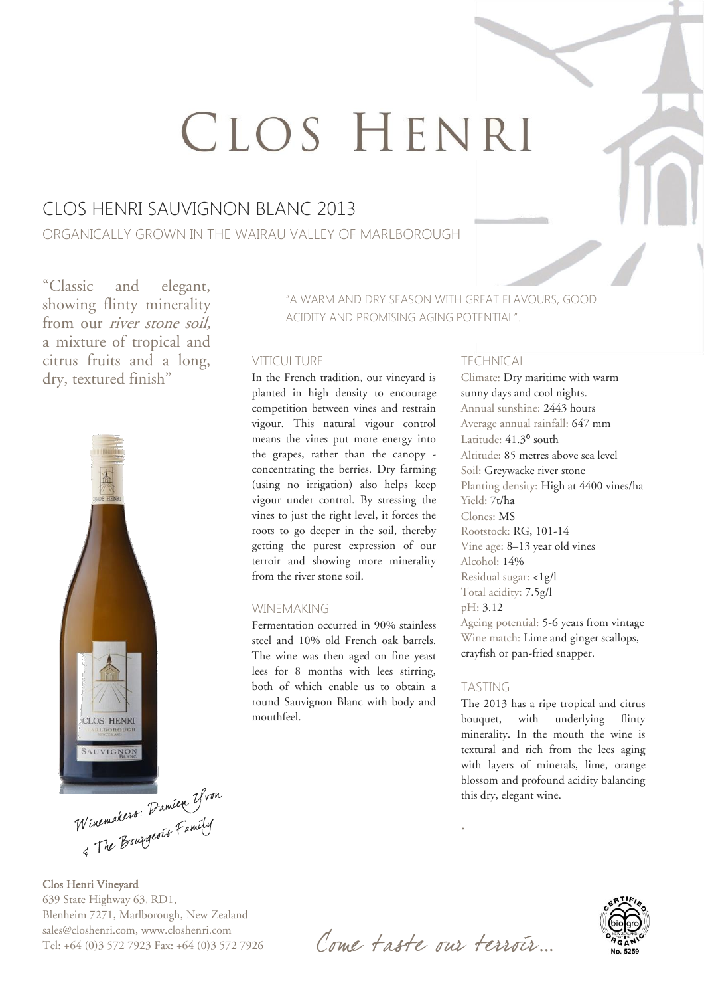# CLOS HENRI

## CLOS HENRI SAUVIGNON BLANC 2013

ORGANICALLY GROWN IN THE WAIRAU VALLEY OF MARLBOROUGH

"Classic and elegant, showing flinty minerality from our river stone soil, a mixture of tropical and citrus fruits and a long, dry, textured finish"



Winemakers: Damien Yvon

Clos Henri Vineyard 639 State Highway 63, RD1, Blenheim 7271, Marlborough, New Zealand sales@closhenri.com, www.closhenri.com Tel: +64 (0)3 572 7923 Fax: +64 (0)3 572 7926 "A WARM AND DRY SEASON WITH GREAT FLAVOURS, GOOD ACIDITY AND PROMISING AGING POTENTIAL".

#### VITICULTURE

In the French tradition, our vineyard is planted in high density to encourage competition between vines and restrain vigour. This natural vigour control means the vines put more energy into the grapes, rather than the canopy concentrating the berries. Dry farming (using no irrigation) also helps keep vigour under control. By stressing the vines to just the right level, it forces the roots to go deeper in the soil, thereby getting the purest expression of our terroir and showing more minerality from the river stone soil.

#### WINEMAKING

Fermentation occurred in 90% stainless steel and 10% old French oak barrels. The wine was then aged on fine yeast lees for 8 months with lees stirring, both of which enable us to obtain a round Sauvignon Blanc with body and mouthfeel.

#### TECHNICAL

Climate: Dry maritime with warm sunny days and cool nights. Annual sunshine: 2443 hours Average annual rainfall: 647 mm Latitude: 41.3<sup>°</sup> south Altitude: 85 metres above sea level Soil: Greywacke river stone Planting density: High at 4400 vines/ha Yield: 7t/ha Clones: MS Rootstock: RG, 101-14 Vine age: 8–13 year old vines Alcohol: 14% Residual sugar: <1g/l Total acidity: 7.5g/l pH: 3.12 Ageing potential: 5-6 years from vintage Wine match: Lime and ginger scallops, crayfish or pan-fried snapper.

#### TASTING

.

The 2013 has a ripe tropical and citrus bouquet, with underlying flinty minerality. In the mouth the wine is textural and rich from the lees aging with layers of minerals, lime, orange blossom and profound acidity balancing this dry, elegant wine.



Come taste our terroir.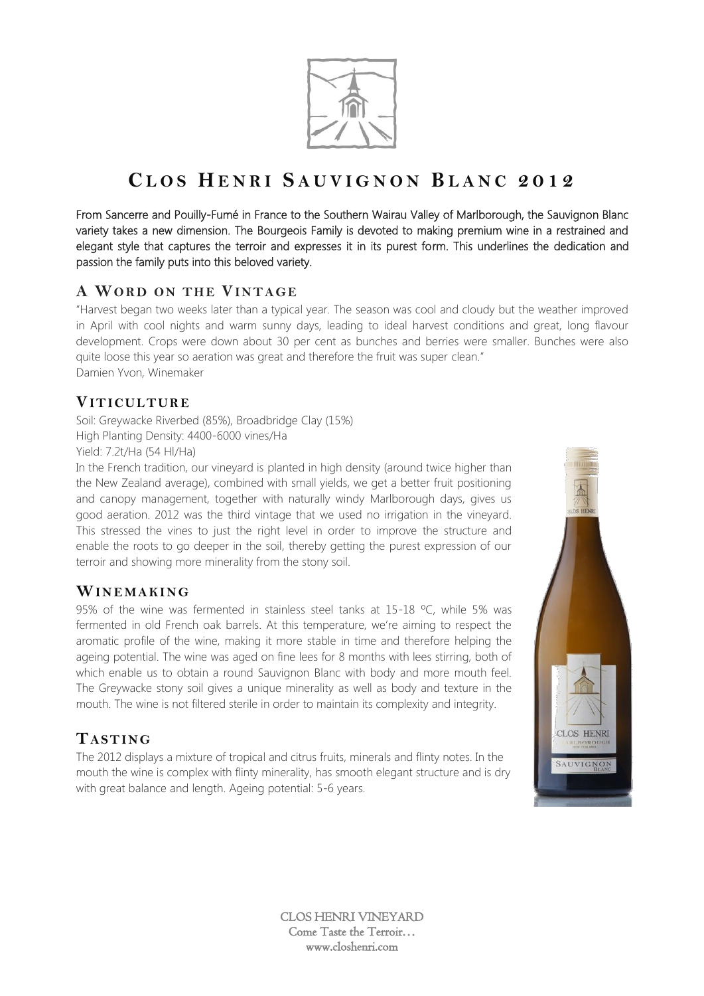

From Sancerre and Pouilly-Fumé in France to the Southern Wairau Valley of Marlborough, the Sauvignon Blanc variety takes a new dimension. The Bourgeois Family is devoted to making premium wine in a restrained and elegant style that captures the terroir and expresses it in its purest form. This underlines the dedication and passion the family puts into this beloved variety.

#### A WORD ON THE VINTAGE

"Harvest began two weeks later than a typical year. The season was cool and cloudy but the weather improved in April with cool nights and warm sunny days, leading to ideal harvest conditions and great, long flavour development. Crops were down about 30 per cent as bunches and berries were smaller. Bunches were also quite loose this year so aeration was great and therefore the fruit was super clean." Damien Yvon, Winemaker

#### **VIT IC UL TUR E**

Soil: Greywacke Riverbed (85%), Broadbridge Clay (15%) High Planting Density: 4400-6000 vines/Ha Yield: 7.2t/Ha (54 Hl/Ha)

In the French tradition, our vineyard is planted in high density (around twice higher than the New Zealand average), combined with small yields, we get a better fruit positioning and canopy management, together with naturally windy Marlborough days, gives us good aeration. 2012 was the third vintage that we used no irrigation in the vineyard. This stressed the vines to just the right level in order to improve the structure and enable the roots to go deeper in the soil, thereby getting the purest expression of our terroir and showing more minerality from the stony soil.

#### **WIN E MA KI NG**

95% of the wine was fermented in stainless steel tanks at 15-18 °C, while 5% was fermented in old French oak barrels. At this temperature, we're aiming to respect the aromatic profile of the wine, making it more stable in time and therefore helping the ageing potential. The wine was aged on fine lees for 8 months with lees stirring, both of which enable us to obtain a round Sauvignon Blanc with body and more mouth feel. The Greywacke stony soil gives a unique minerality as well as body and texture in the mouth. The wine is not filtered sterile in order to maintain its complexity and integrity.

## **TA ST ING**

The 2012 displays a mixture of tropical and citrus fruits, minerals and flinty notes. In the mouth the wine is complex with flinty minerality, has smooth elegant structure and is dry with great balance and length. Ageing potential: 5-6 years.

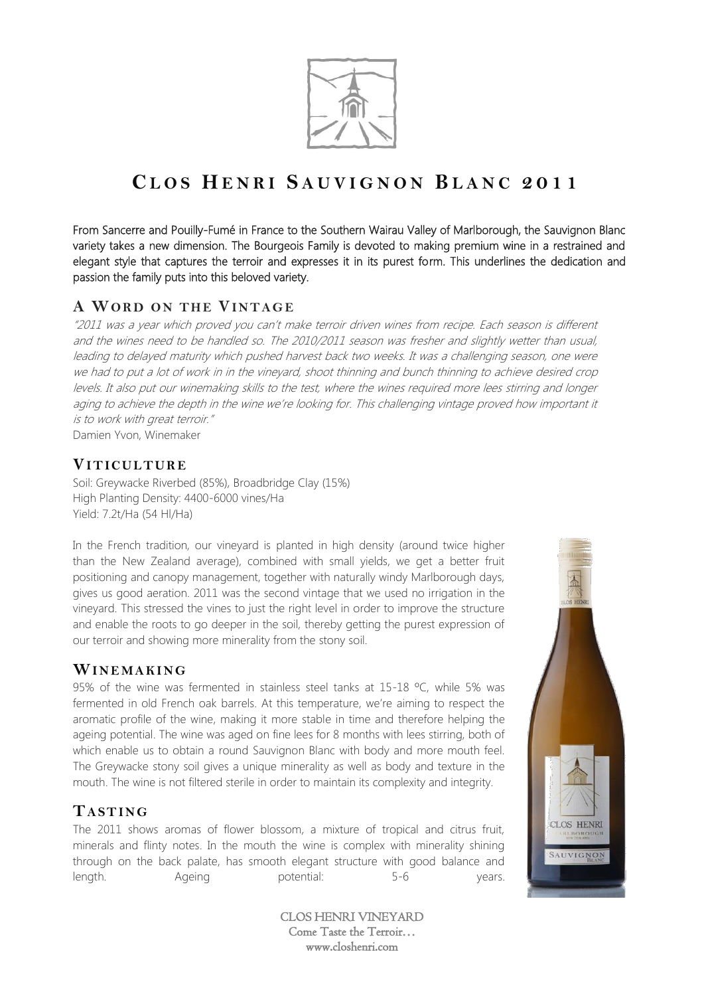

From Sancerre and Pouilly-Fumé in France to the Southern Wairau Valley of Marlborough, the Sauvignon Blanc variety takes a new dimension. The Bourgeois Family is devoted to making premium wine in a restrained and elegant style that captures the terroir and expresses it in its purest form. This underlines the dedication and passion the family puts into this beloved variety.

## A WORD ON THE VINTAGE

"2011 was a year which proved you can't make terroir driven wines from recipe. Each season is different and the wines need to be handled so. The 2010/2011 season was fresher and slightly wetter than usual, leading to delayed maturity which pushed harvest back two weeks. It was a challenging season, one were we had to put a lot of work in in the vineyard, shoot thinning and bunch thinning to achieve desired crop levels. It also put our winemaking skills to the test, where the wines required more lees stirring and longer aging to achieve the depth in the wine we're looking for. This challenging vintage proved how important it is to work with great terroir."

Damien Yvon, Winemaker

#### **VIT IC UL TUR E**

Soil: Greywacke Riverbed (85%), Broadbridge Clay (15%) High Planting Density: 4400-6000 vines/Ha Yield: 7.2t/Ha (54 Hl/Ha)

In the French tradition, our vineyard is planted in high density (around twice higher than the New Zealand average), combined with small yields, we get a better fruit positioning and canopy management, together with naturally windy Marlborough days, gives us good aeration. 2011 was the second vintage that we used no irrigation in the vineyard. This stressed the vines to just the right level in order to improve the structure and enable the roots to go deeper in the soil, thereby getting the purest expression of our terroir and showing more minerality from the stony soil.

#### WINEMAKING

95% of the wine was fermented in stainless steel tanks at 15-18 ºC, while 5% was fermented in old French oak barrels. At this temperature, we're aiming to respect the aromatic profile of the wine, making it more stable in time and therefore helping the ageing potential. The wine was aged on fine lees for 8 months with lees stirring, both of which enable us to obtain a round Sauvignon Blanc with body and more mouth feel. The Greywacke stony soil gives a unique minerality as well as body and texture in the mouth. The wine is not filtered sterile in order to maintain its complexity and integrity.

#### **TA ST ING**

The 2011 shows aromas of flower blossom, a mixture of tropical and citrus fruit, minerals and flinty notes. In the mouth the wine is complex with minerality shining through on the back palate, has smooth elegant structure with good balance and length. Ageing potential: 5-6 years.

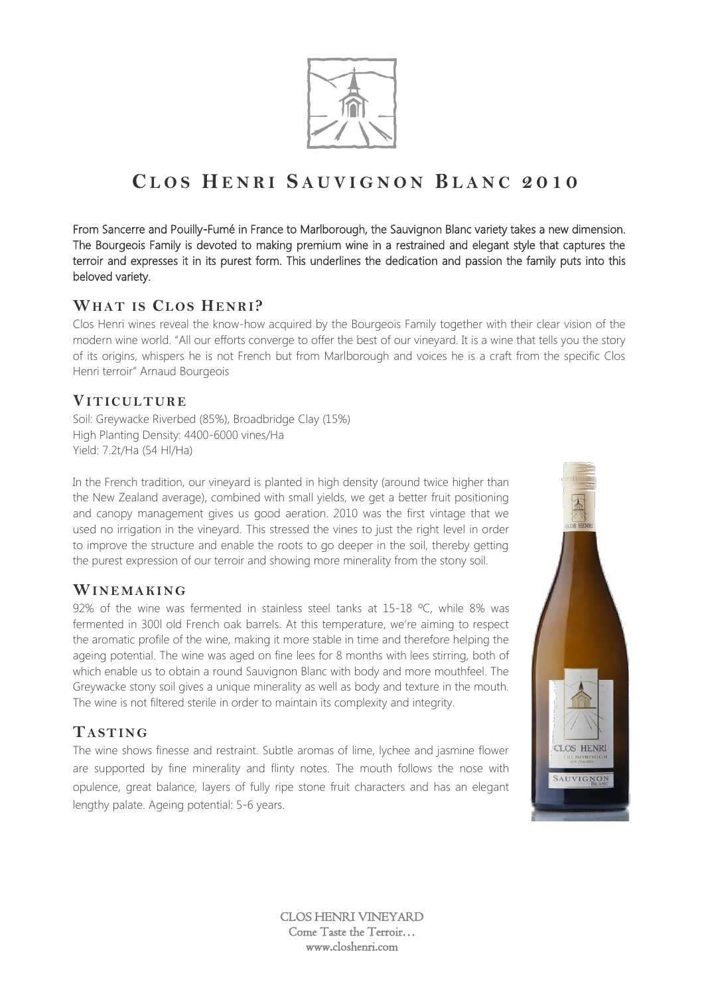

From Sancerre and Pouilly-Fumé in France to Marlborough, the Sauvignon Blanc variety takes a new dimension. The Bourgeois Family is devoted to making premium wine in a restrained and elegant style that captures the terroir and expresses it in its purest form. This underlines the dedication and passion the family puts into this beloved variety.

#### **WHAT IS CL OS HE NR I?**

Clos Henri wines reveal the know-how acquired by the Bourgeois Family together with their clear vision of the modern wine world. "All our efforts converge to offer the best of our vineyard. It is a wine that tells you the story of its origins, whispers he is not French but from Marlborough and voices he is a craft from the specific Clos Henri terroir" Arnaud Bourgeois

#### **VIT IC UL TUR E**

Soil: Greywacke Riverbed (85%), Broadbridge Clay (15%) High Planting Density: 4400-6000 vines/Ha Yield: 7.2t/Ha (54 Hl/Ha)

In the French tradition, our vineyard is planted in high density (around twice higher than the New Zealand average), combined with small yields, we get a better fruit positioning and canopy management gives us good aeration. 2010 was the first vintage that we used no irrigation in the vineyard. This stressed the vines to just the right level in order to improve the structure and enable the roots to go deeper in the soil, thereby getting the purest expression of our terroir and showing more minerality from the stony soil.

## **WIN E MA KI NG**

92% of the wine was fermented in stainless steel tanks at 15-18 °C, while 8% was fermented in 300l old French oak barrels. At this temperature, we're aiming to respect the aromatic profile of the wine, making it more stable in time and therefore helping the ageing potential. The wine was aged on fine lees for 8 months with lees stirring, both of which enable us to obtain a round Sauvignon Blanc with body and more mouthfeel. The Greywacke stony soil gives a unique minerality as well as body and texture in the mouth. The wine is not filtered sterile in order to maintain its complexity and integrity.

## **TA ST ING**

The wine shows finesse and restraint. Subtle aromas of lime, lychee and jasmine flower are supported by fine minerality and flinty notes. The mouth follows the nose with opulence, great balance, layers of fully ripe stone fruit characters and has an elegant lengthy palate. Ageing potential: 5-6 years.

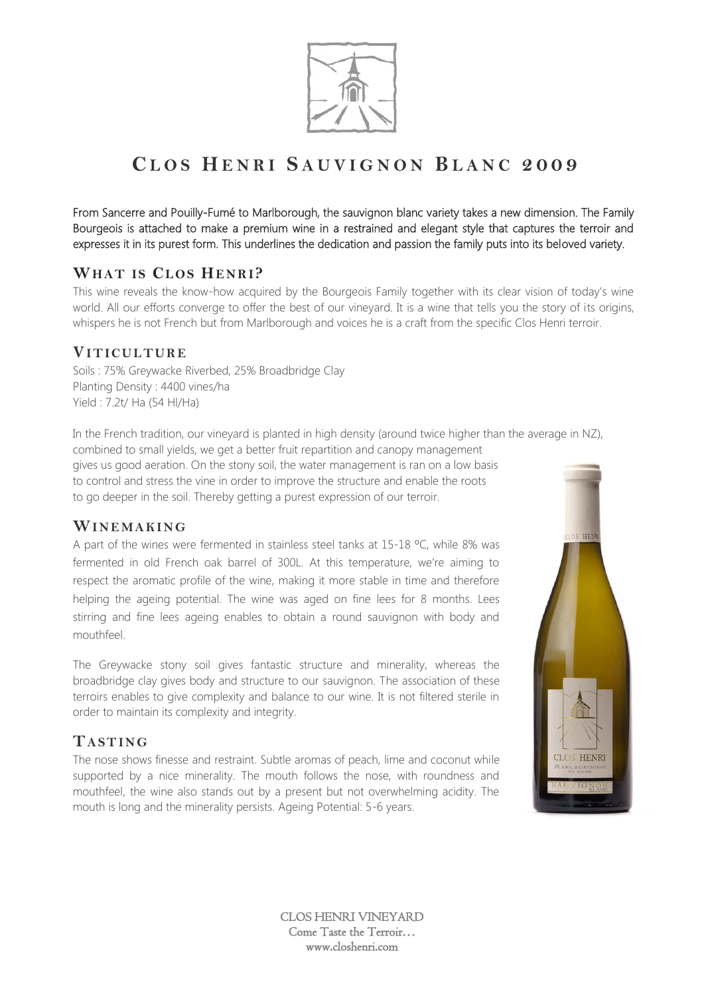

From Sancerre and Pouilly-Fumé to Marlborough, the sauvignon blanc variety takes a new dimension. The Family Bourgeois is attached to make a premium wine in a restrained and elegant style that captures the terroir and expresses it in its purest form. This underlines the dedication and passion the family puts into its beloved variety.

## **WHAT IS CL OS HE NR I?**

This wine reveals the know-how acquired by the Bourgeois Family together with its clear vision of today's wine world. All our efforts converge to offer the best of our vineyard. It is a wine that tells you the story of its origins, whispers he is not French but from Marlborough and voices he is a craft from the specific Clos Henri terroir.

#### **VIT IC UL TUR E**

Soils : 75% Greywacke Riverbed, 25% Broadbridge Clay Planting Density : 4400 vines/ha Yield : 7.2t/ Ha (54 Hl/Ha)

In the French tradition, our vineyard is planted in high density (around twice higher than the average in NZ), combined to small yields, we get a better fruit repartition and canopy management gives us good aeration. On the stony soil, the water management is ran on a low basis to control and stress the vine in order to improve the structure and enable the roots to go deeper in the soil. Thereby getting a purest expression of our terroir.

#### WINEMAKING

A part of the wines were fermented in stainless steel tanks at 15-18 ºC, while 8% was fermented in old French oak barrel of 300L. At this temperature, we're aiming to respect the aromatic profile of the wine, making it more stable in time and therefore helping the ageing potential. The wine was aged on fine lees for 8 months. Lees stirring and fine lees ageing enables to obtain a round sauvignon with body and mouthfeel.

The Greywacke stony soil gives fantastic structure and minerality, whereas the broadbridge clay gives body and structure to our sauvignon. The association of these terroirs enables to give complexity and balance to our wine. It is not filtered sterile in order to maintain its complexity and integrity.

## **TA ST ING**

The nose shows finesse and restraint. Subtle aromas of peach, lime and coconut while supported by a nice minerality. The mouth follows the nose, with roundness and mouthfeel, the wine also stands out by a present but not overwhelming acidity. The mouth is long and the minerality persists. Ageing Potential: 5-6 years.

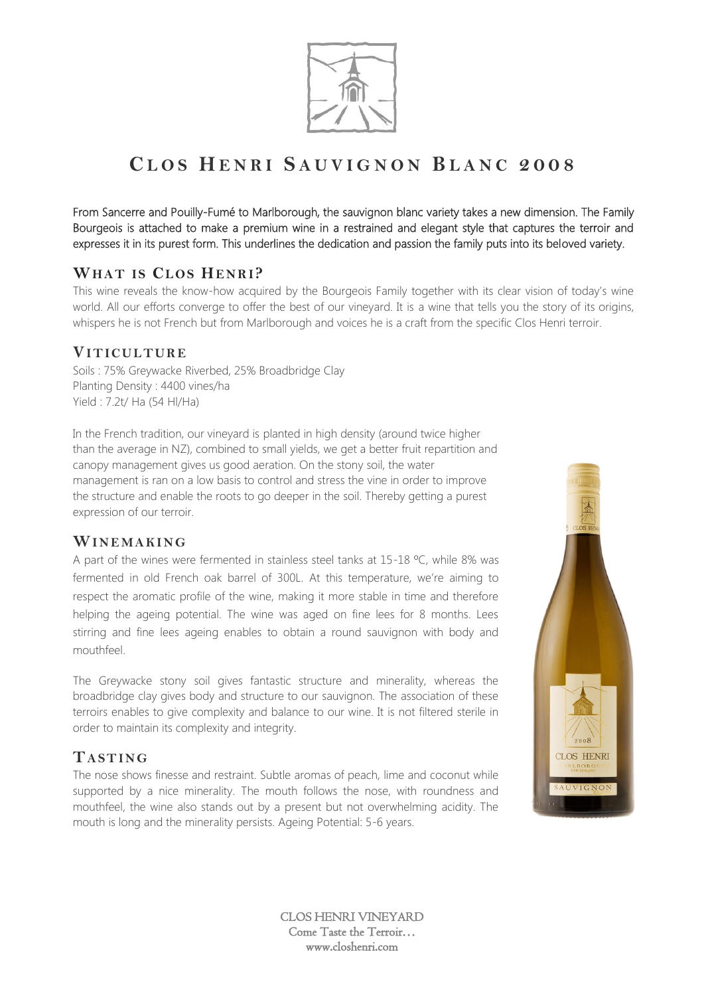

From Sancerre and Pouilly-Fumé to Marlborough, the sauvignon blanc variety takes a new dimension. The Family Bourgeois is attached to make a premium wine in a restrained and elegant style that captures the terroir and expresses it in its purest form. This underlines the dedication and passion the family puts into its beloved variety.

## **WHAT IS CL OS HE NR I?**

This wine reveals the know-how acquired by the Bourgeois Family together with its clear vision of today's wine world. All our efforts converge to offer the best of our vineyard. It is a wine that tells you the story of its origins, whispers he is not French but from Marlborough and voices he is a craft from the specific Clos Henri terroir.

#### **VIT IC UL TUR E**

Soils : 75% Greywacke Riverbed, 25% Broadbridge Clay Planting Density : 4400 vines/ha Yield : 7.2t/ Ha (54 Hl/Ha)

In the French tradition, our vineyard is planted in high density (around twice higher than the average in NZ), combined to small yields, we get a better fruit repartition and canopy management gives us good aeration. On the stony soil, the water management is ran on a low basis to control and stress the vine in order to improve the structure and enable the roots to go deeper in the soil. Thereby getting a purest expression of our terroir.

#### **WIN E MA KI NG**

A part of the wines were fermented in stainless steel tanks at 15-18 °C, while 8% was fermented in old French oak barrel of 300L. At this temperature, we're aiming to respect the aromatic profile of the wine, making it more stable in time and therefore helping the ageing potential. The wine was aged on fine lees for 8 months. Lees stirring and fine lees ageing enables to obtain a round sauvignon with body and mouthfeel.

The Greywacke stony soil gives fantastic structure and minerality, whereas the broadbridge clay gives body and structure to our sauvignon. The association of these terroirs enables to give complexity and balance to our wine. It is not filtered sterile in order to maintain its complexity and integrity.

## **TA ST ING**

The nose shows finesse and restraint. Subtle aromas of peach, lime and coconut while supported by a nice minerality. The mouth follows the nose, with roundness and mouthfeel, the wine also stands out by a present but not overwhelming acidity. The mouth is long and the minerality persists. Ageing Potential: 5-6 years.

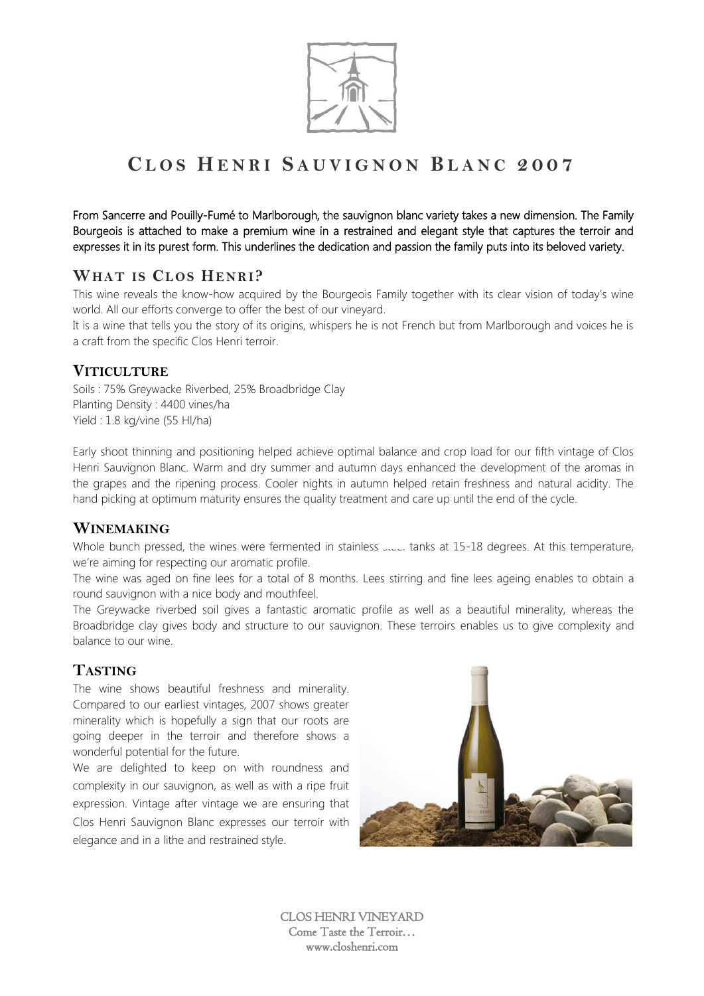

From Sancerre and Pouilly-Fumé to Marlborough, the sauvignon blanc variety takes a new dimension. The Family Bourgeois is attached to make a premium wine in a restrained and elegant style that captures the terroir and expresses it in its purest form. This underlines the dedication and passion the family puts into its beloved variety.

#### **WHAT IS CL OS HE NR I?**

This wine reveals the know-how acquired by the Bourgeois Family together with its clear vision of today's wine world. All our efforts converge to offer the best of our vineyard.

It is a wine that tells you the story of its origins, whispers he is not French but from Marlborough and voices he is a craft from the specific Clos Henri terroir.

#### **VITICULTURE**

Soils : 75% Greywacke Riverbed, 25% Broadbridge Clay Planting Density : 4400 vines/ha Yield : 1.8 kg/vine (55 Hl/ha)

Early shoot thinning and positioning helped achieve optimal balance and crop load for our fifth vintage of Clos Henri Sauvignon Blanc. Warm and dry summer and autumn days enhanced the development of the aromas in the grapes and the ripening process. Cooler nights in autumn helped retain freshness and natural acidity. The hand picking at optimum maturity ensures the quality treatment and care up until the end of the cycle.

#### **WINEMAKING**

Whole bunch pressed, the wines were fermented in stainless steel tanks at 15-18 degrees. At this temperature, we're aiming for respecting our aromatic profile.

The wine was aged on fine lees for a total of 8 months. Lees stirring and fine lees ageing enables to obtain a round sauvignon with a nice body and mouthfeel.

The Greywacke riverbed soil gives a fantastic aromatic profile as well as a beautiful minerality, whereas the Broadbridge clay gives body and structure to our sauvignon. These terroirs enables us to give complexity and balance to our wine.

## **TASTING**

The wine shows beautiful freshness and minerality. Compared to our earliest vintages, 2007 shows greater minerality which is hopefully a sign that our roots are going deeper in the terroir and therefore shows a wonderful potential for the future.

We are delighted to keep on with roundness and complexity in our sauvignon, as well as with a ripe fruit expression. Vintage after vintage we are ensuring that Clos Henri Sauvignon Blanc expresses our terroir with elegance and in a lithe and restrained style.

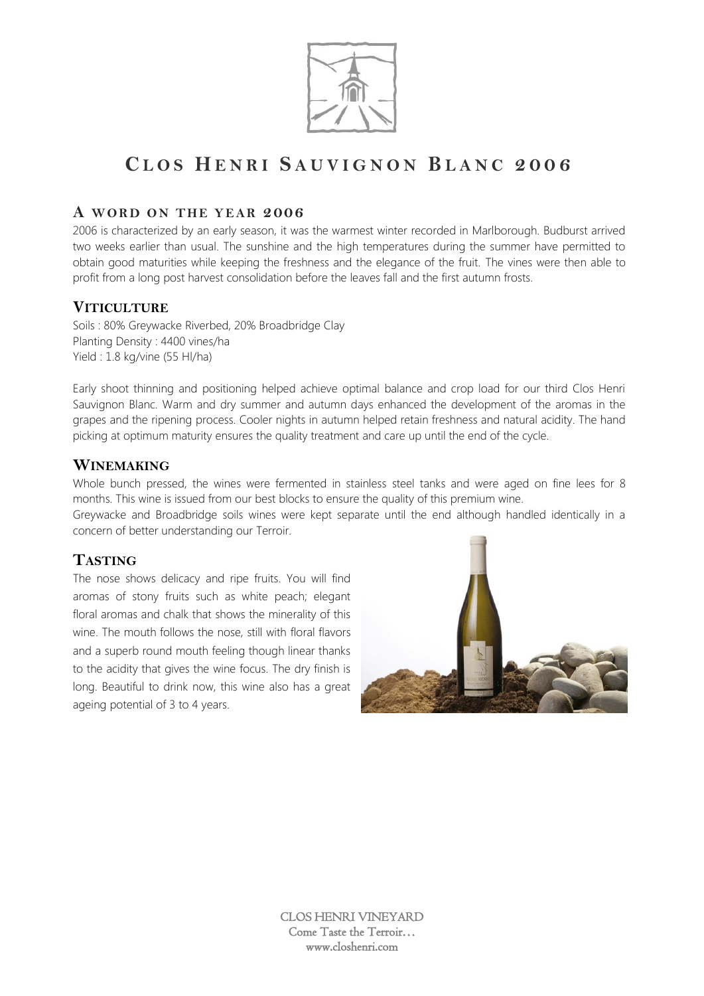

#### **A WORD ON THE YEAR 2006**

2006 is characterized by an early season, it was the warmest winter recorded in Marlborough. Budburst arrived two weeks earlier than usual. The sunshine and the high temperatures during the summer have permitted to obtain good maturities while keeping the freshness and the elegance of the fruit. The vines were then able to profit from a long post harvest consolidation before the leaves fall and the first autumn frosts.

#### **VITICULTURE**

Soils : 80% Greywacke Riverbed, 20% Broadbridge Clay Planting Density : 4400 vines/ha Yield : 1.8 kg/vine (55 Hl/ha)

Early shoot thinning and positioning helped achieve optimal balance and crop load for our third Clos Henri Sauvignon Blanc. Warm and dry summer and autumn days enhanced the development of the aromas in the grapes and the ripening process. Cooler nights in autumn helped retain freshness and natural acidity. The hand picking at optimum maturity ensures the quality treatment and care up until the end of the cycle.

#### **WINEMAKING**

Whole bunch pressed, the wines were fermented in stainless steel tanks and were aged on fine lees for 8 months. This wine is issued from our best blocks to ensure the quality of this premium wine.

Greywacke and Broadbridge soils wines were kept separate until the end although handled identically in a concern of better understanding our Terroir.

## **TASTING**

The nose shows delicacy and ripe fruits. You will find aromas of stony fruits such as white peach; elegant floral aromas and chalk that shows the minerality of this wine. The mouth follows the nose, still with floral flavors and a superb round mouth feeling though linear thanks to the acidity that gives the wine focus. The dry finish is long. Beautiful to drink now, this wine also has a great ageing potential of 3 to 4 years.

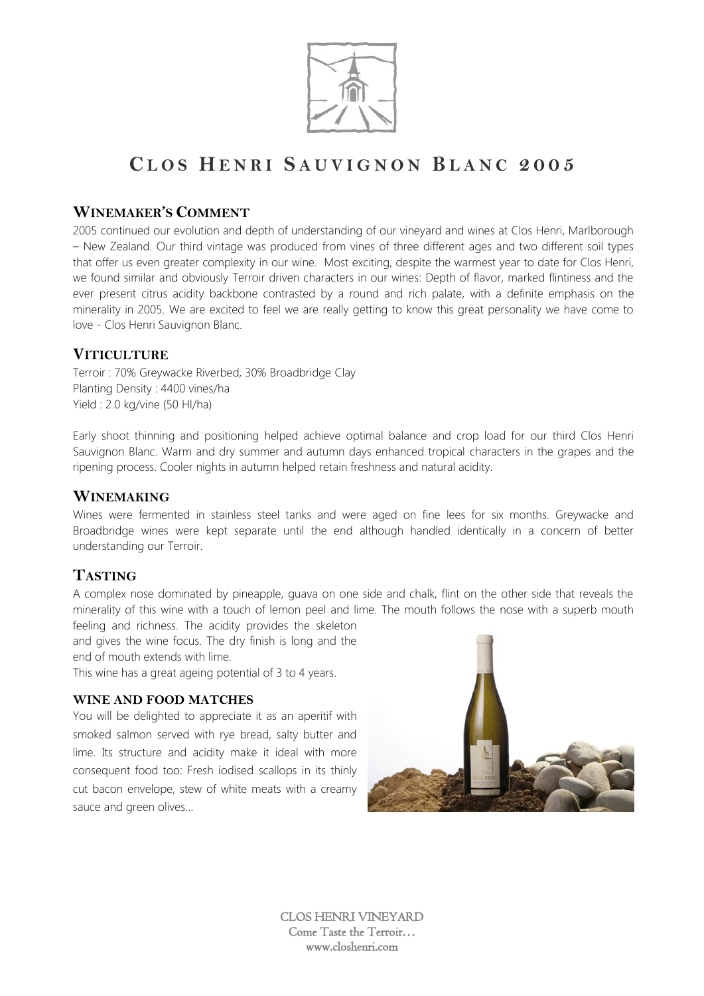

#### **WINEMAKER'S COMMENT**

2005 continued our evolution and depth of understanding of our vineyard and wines at Clos Henri, Marlborough – New Zealand. Our third vintage was produced from vines of three different ages and two different soil types that offer us even greater complexity in our wine. Most exciting, despite the warmest year to date for Clos Henri, we found similar and obviously Terroir driven characters in our wines: Depth of flavor, marked flintiness and the ever present citrus acidity backbone contrasted by a round and rich palate, with a definite emphasis on the minerality in 2005. We are excited to feel we are really getting to know this great personality we have come to love - Clos Henri Sauvignon Blanc.

#### **VITICULTURE**

Terroir : 70% Greywacke Riverbed, 30% Broadbridge Clay Planting Density : 4400 vines/ha Yield : 2.0 kg/vine (50 Hl/ha)

Early shoot thinning and positioning helped achieve optimal balance and crop load for our third Clos Henri Sauvignon Blanc. Warm and dry summer and autumn days enhanced tropical characters in the grapes and the ripening process. Cooler nights in autumn helped retain freshness and natural acidity.

#### **WINEMAKING**

Wines were fermented in stainless steel tanks and were aged on fine lees for six months. Greywacke and Broadbridge wines were kept separate until the end although handled identically in a concern of better understanding our Terroir.

#### **TASTING**

A complex nose dominated by pineapple, guava on one side and chalk, flint on the other side that reveals the minerality of this wine with a touch of lemon peel and lime. The mouth follows the nose with a superb mouth feeling and richness. The acidity provides the skeleton

and gives the wine focus. The dry finish is long and the end of mouth extends with lime.

This wine has a great ageing potential of 3 to 4 years.

#### **WINE AND FOOD MATCHES**

You will be delighted to appreciate it as an aperitif with smoked salmon served with rye bread, salty butter and lime. Its structure and acidity make it ideal with more consequent food too: Fresh iodised scallops in its thinly cut bacon envelope, stew of white meats with a creamy sauce and green olives…